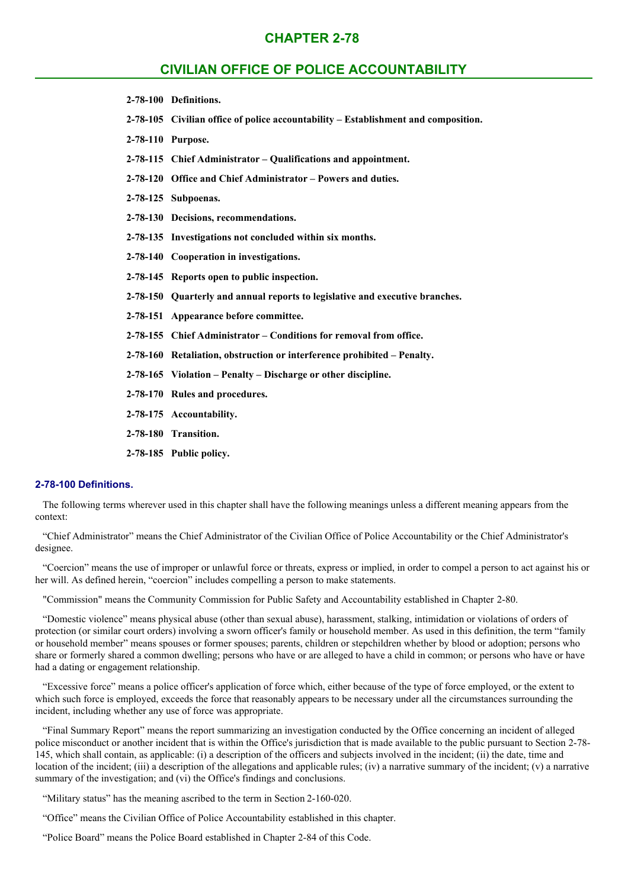# **CHAPTER 2-78**

# **CIVILIAN OFFICE OF POLICE ACCOUNTABILITY**

- **2-78-100 Definitions.**
- **2-78-105 Civilian office of police accountability – Establishment and composition.**
- **2-78-110 Purpose.**
- **2-78-115 Chief Administrator – Qualifications and appointment.**
- **2-78-120 Office and Chief Administrator – Powers and duties.**
- **2-78-125 Subpoenas.**
- **2-78-130 Decisions, recommendations.**
- **2-78-135 Investigations not concluded within six months.**
- **2-78-140 Cooperation in investigations.**
- **2-78-145 Reports open to public inspection.**
- **2-78-150 Quarterly and annual reports to legislative and executive branches.**
- **2-78-151 Appearance before committee.**
- **2-78-155 Chief Administrator – Conditions for removal from office.**
- **2-78-160 Retaliation, obstruction or interference prohibited – Penalty.**
- **2-78-165 Violation – Penalty – Discharge or other discipline.**
- **2-78-170 Rules and procedures.**
- **2-78-175 Accountability.**
- **2-78-180 Transition.**
- **2-78-185 Public policy.**

#### **2-78-100 Definitions.**

The following terms wherever used in this chapter shall have the following meanings unless a different meaning appears from the context:

"Chief Administrator" means the Chief Administrator of the Civilian Office of Police Accountability or the Chief Administrator's designee.

"Coercion" means the use of improper or unlawful force or threats, express or implied, in order to compel a person to act against his or her will. As defined herein, "coercion" includes compelling a person to make statements.

"Commission" means the Community Commission for Public Safety and Accountability established in Chapter 2-80.

"Domestic violence" means physical abuse (other than sexual abuse), harassment, stalking, intimidation or violations of orders of protection (or similar court orders) involving a sworn officer's family or household member. As used in this definition, the term "family or household member" means spouses or former spouses; parents, children or stepchildren whether by blood or adoption; persons who share or formerly shared a common dwelling; persons who have or are alleged to have a child in common; or persons who have or have had a dating or engagement relationship.

"Excessive force" means a police officer's application of force which, either because of the type of force employed, or the extent to which such force is employed, exceeds the force that reasonably appears to be necessary under all the circumstances surrounding the incident, including whether any use of force was appropriate.

"Final Summary Report" means the report summarizing an investigation conducted by the Office concerning an incident of alleged police misconduct or another incident that is within the Office's jurisdiction that is made available to the public pursuant to Section 2-78- 145, which shall contain, as applicable: (i) a description of the officers and subjects involved in the incident; (ii) the date, time and location of the incident; (iii) a description of the allegations and applicable rules; (iv) a narrative summary of the incident; (v) a narrative summary of the investigation; and (vi) the Office's findings and conclusions.

"Military status" has the meaning ascribed to the term in Section 2-160-020.

"Office" means the Civilian Office of Police Accountability established in this chapter.

"Police Board" means the Police Board established in Chapter 2-84 of this Code.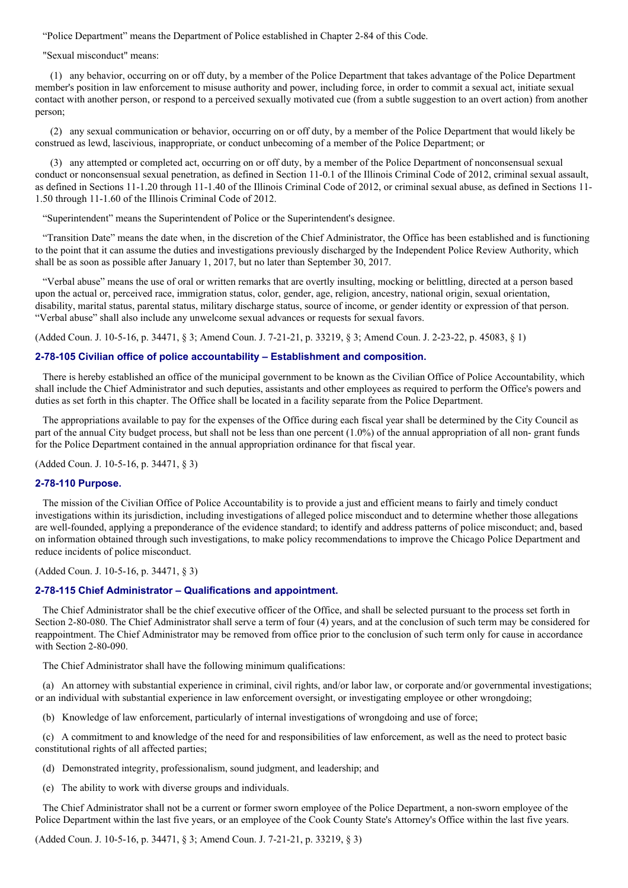"Police Department" means the Department of Police established in Chapter 2-84 of this Code.

"Sexual misconduct" means:

(1) any behavior, occurring on or off duty, by a member of the Police Department that takes advantage of the Police Department member's position in law enforcement to misuse authority and power, including force, in order to commit a sexual act, initiate sexual contact with another person, or respond to a perceived sexually motivated cue (from a subtle suggestion to an overt action) from another person;

(2) any sexual communication or behavior, occurring on or off duty, by a member of the Police Department that would likely be construed as lewd, lascivious, inappropriate, or conduct unbecoming of a member of the Police Department; or

(3) any attempted or completed act, occurring on or off duty, by a member of the Police Department of nonconsensual sexual conduct or nonconsensual sexual penetration, as defined in Section 11-0.1 of the Illinois Criminal Code of 2012, criminal sexual assault, as defined in Sections 11-1.20 through 11-1.40 of the Illinois Criminal Code of 2012, or criminal sexual abuse, as defined in Sections 11- 1.50 through 11-1.60 of the Illinois Criminal Code of 2012.

"Superintendent" means the Superintendent of Police or the Superintendent's designee.

"Transition Date" means the date when, in the discretion of the Chief Administrator, the Office has been established and is functioning to the point that it can assume the duties and investigations previously discharged by the Independent Police Review Authority, which shall be as soon as possible after January 1, 2017, but no later than September 30, 2017.

"Verbal abuse" means the use of oral or written remarks that are overtly insulting, mocking or belittling, directed at a person based upon the actual or, perceived race, immigration status, color, gender, age, religion, ancestry, national origin, sexual orientation, disability, marital status, parental status, military discharge status, source of income, or gender identity or expression of that person. "Verbal abuse" shall also include any unwelcome sexual advances or requests for sexual favors.

(Added Coun. J. 10-5-16, p. 34471, § 3; Amend Coun. J. 7-21-21, p. 33219, § 3; Amend Coun. J. 2-23-22, p. 45083, § 1)

#### **2-78-105 Civilian office of police accountability – Establishment and composition.**

There is hereby established an office of the municipal government to be known as the Civilian Office of Police Accountability, which shall include the Chief Administrator and such deputies, assistants and other employees as required to perform the Office's powers and duties as set forth in this chapter. The Office shall be located in a facility separate from the Police Department.

The appropriations available to pay for the expenses of the Office during each fiscal year shall be determined by the City Council as part of the annual City budget process, but shall not be less than one percent (1.0%) of the annual appropriation of all non- grant funds for the Police Department contained in the annual appropriation ordinance for that fiscal year.

(Added Coun. J. 10-5-16, p. 34471, § 3)

#### **2-78-110 Purpose.**

The mission of the Civilian Office of Police Accountability is to provide a just and efficient means to fairly and timely conduct investigations within its jurisdiction, including investigations of alleged police misconduct and to determine whether those allegations are well-founded, applying a preponderance of the evidence standard; to identify and address patterns of police misconduct; and, based on information obtained through such investigations, to make policy recommendations to improve the Chicago Police Department and reduce incidents of police misconduct.

(Added Coun. J. 10-5-16, p. 34471, § 3)

#### **2-78-115 Chief Administrator – Qualifications and appointment.**

The Chief Administrator shall be the chief executive officer of the Office, and shall be selected pursuant to the process set forth in Section 2-80-080. The Chief Administrator shall serve a term of four (4) years, and at the conclusion of such term may be considered for reappointment. The Chief Administrator may be removed from office prior to the conclusion of such term only for cause in accordance with Section 2-80-090.

The Chief Administrator shall have the following minimum qualifications:

(a) An attorney with substantial experience in criminal, civil rights, and/or labor law, or corporate and/or governmental investigations; or an individual with substantial experience in law enforcement oversight, or investigating employee or other wrongdoing;

(b) Knowledge of law enforcement, particularly of internal investigations of wrongdoing and use of force;

(c) A commitment to and knowledge of the need for and responsibilities of law enforcement, as well as the need to protect basic constitutional rights of all affected parties;

(d) Demonstrated integrity, professionalism, sound judgment, and leadership; and

(e) The ability to work with diverse groups and individuals.

The Chief Administrator shall not be a current or former sworn employee of the Police Department, a non-sworn employee of the Police Department within the last five years, or an employee of the Cook County State's Attorney's Office within the last five years.

(Added Coun. J. 10-5-16, p. 34471, § 3; Amend Coun. J. 7-21-21, p. 33219, § 3)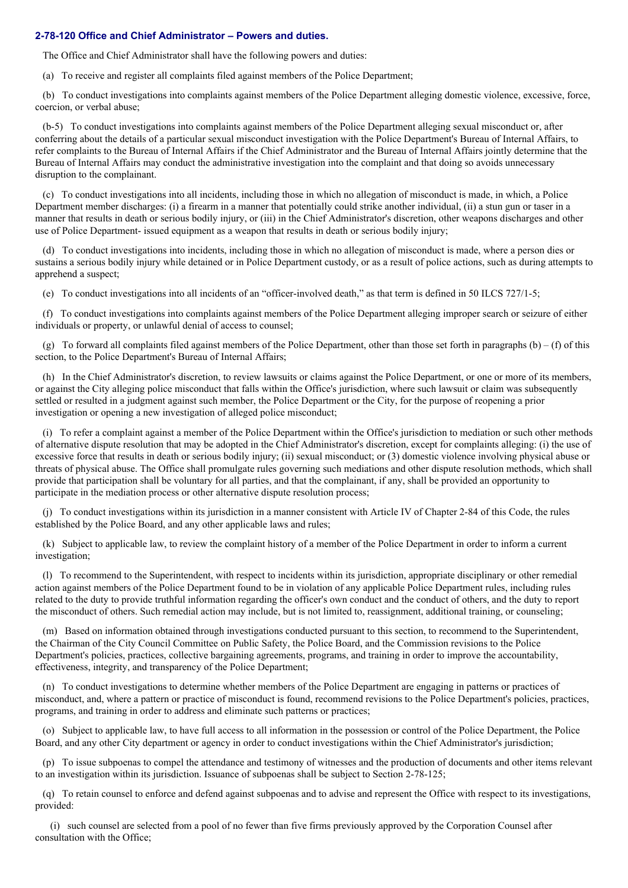## **2-78-120 Office and Chief Administrator – Powers and duties.**

The Office and Chief Administrator shall have the following powers and duties:

(a) To receive and register all complaints filed against members of the Police Department;

(b) To conduct investigations into complaints against members of the Police Department alleging domestic violence, excessive, force, coercion, or verbal abuse;

(b-5) To conduct investigations into complaints against members of the Police Department alleging sexual misconduct or, after conferring about the details of a particular sexual misconduct investigation with the Police Department's Bureau of Internal Affairs, to refer complaints to the Bureau of Internal Affairs if the Chief Administrator and the Bureau of Internal Affairs jointly determine that the Bureau of Internal Affairs may conduct the administrative investigation into the complaint and that doing so avoids unnecessary disruption to the complainant.

(c) To conduct investigations into all incidents, including those in which no allegation of misconduct is made, in which, a Police Department member discharges: (i) a firearm in a manner that potentially could strike another individual, (ii) a stun gun or taser in a manner that results in death or serious bodily injury, or (iii) in the Chief Administrator's discretion, other weapons discharges and other use of Police Department- issued equipment as a weapon that results in death or serious bodily injury;

(d) To conduct investigations into incidents, including those in which no allegation of misconduct is made, where a person dies or sustains a serious bodily injury while detained or in Police Department custody, or as a result of police actions, such as during attempts to apprehend a suspect;

(e) To conduct investigations into all incidents of an "officer-involved death," as that term is defined in 50 ILCS 727/1-5;

(f) To conduct investigations into complaints against members of the Police Department alleging improper search or seizure of either individuals or property, or unlawful denial of access to counsel;

(g) To forward all complaints filed against members of the Police Department, other than those set forth in paragraphs  $(b) - (f)$  of this section, to the Police Department's Bureau of Internal Affairs;

(h) In the Chief Administrator's discretion, to review lawsuits or claims against the Police Department, or one or more of its members, or against the City alleging police misconduct that falls within the Office's jurisdiction, where such lawsuit or claim was subsequently settled or resulted in a judgment against such member, the Police Department or the City, for the purpose of reopening a prior investigation or opening a new investigation of alleged police misconduct;

(i) To refer a complaint against a member of the Police Department within the Office's jurisdiction to mediation or such other methods of alternative dispute resolution that may be adopted in the Chief Administrator's discretion, except for complaints alleging: (i) the use of excessive force that results in death or serious bodily injury; (ii) sexual misconduct; or (3) domestic violence involving physical abuse or threats of physical abuse. The Office shall promulgate rules governing such mediations and other dispute resolution methods, which shall provide that participation shall be voluntary for all parties, and that the complainant, if any, shall be provided an opportunity to participate in the mediation process or other alternative dispute resolution process;

(j) To conduct investigations within its jurisdiction in a manner consistent with Article IV of Chapter 2-84 of this Code, the rules established by the Police Board, and any other applicable laws and rules;

(k) Subject to applicable law, to review the complaint history of a member of the Police Department in order to inform a current investigation;

(l) To recommend to the Superintendent, with respect to incidents within its jurisdiction, appropriate disciplinary or other remedial action against members of the Police Department found to be in violation of any applicable Police Department rules, including rules related to the duty to provide truthful information regarding the officer's own conduct and the conduct of others, and the duty to report the misconduct of others. Such remedial action may include, but is not limited to, reassignment, additional training, or counseling;

(m) Based on information obtained through investigations conducted pursuant to this section, to recommend to the Superintendent, the Chairman of the City Council Committee on Public Safety, the Police Board, and the Commission revisions to the Police Department's policies, practices, collective bargaining agreements, programs, and training in order to improve the accountability, effectiveness, integrity, and transparency of the Police Department;

(n) To conduct investigations to determine whether members of the Police Department are engaging in patterns or practices of misconduct, and, where a pattern or practice of misconduct is found, recommend revisions to the Police Department's policies, practices, programs, and training in order to address and eliminate such patterns or practices;

(o) Subject to applicable law, to have full access to all information in the possession or control of the Police Department, the Police Board, and any other City department or agency in order to conduct investigations within the Chief Administrator's jurisdiction;

(p) To issue subpoenas to compel the attendance and testimony of witnesses and the production of documents and other items relevant to an investigation within its jurisdiction. Issuance of subpoenas shall be subject to Section 2-78-125;

(q) To retain counsel to enforce and defend against subpoenas and to advise and represent the Office with respect to its investigations, provided:

(i) such counsel are selected from a pool of no fewer than five firms previously approved by the Corporation Counsel after consultation with the Office;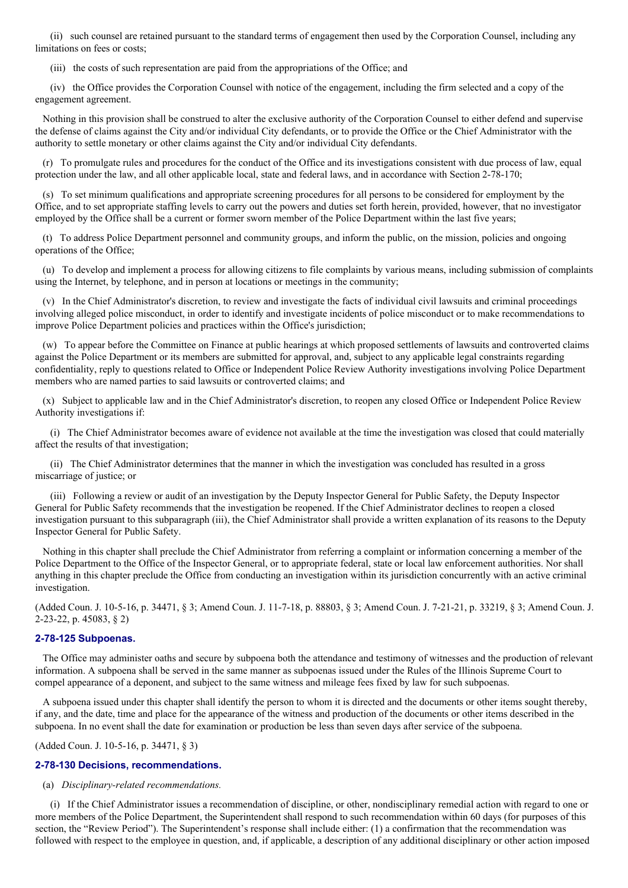(ii) such counsel are retained pursuant to the standard terms of engagement then used by the Corporation Counsel, including any limitations on fees or costs;

(iii) the costs of such representation are paid from the appropriations of the Office; and

(iv) the Office provides the Corporation Counsel with notice of the engagement, including the firm selected and a copy of the engagement agreement.

Nothing in this provision shall be construed to alter the exclusive authority of the Corporation Counsel to either defend and supervise the defense of claims against the City and/or individual City defendants, or to provide the Office or the Chief Administrator with the authority to settle monetary or other claims against the City and/or individual City defendants.

(r) To promulgate rules and procedures for the conduct of the Office and its investigations consistent with due process of law, equal protection under the law, and all other applicable local, state and federal laws, and in accordance with Section 2-78-170;

(s) To set minimum qualifications and appropriate screening procedures for all persons to be considered for employment by the Office, and to set appropriate staffing levels to carry out the powers and duties set forth herein, provided, however, that no investigator employed by the Office shall be a current or former sworn member of the Police Department within the last five years;

(t) To address Police Department personnel and community groups, and inform the public, on the mission, policies and ongoing operations of the Office;

(u) To develop and implement a process for allowing citizens to file complaints by various means, including submission of complaints using the Internet, by telephone, and in person at locations or meetings in the community;

(v) In the Chief Administrator's discretion, to review and investigate the facts of individual civil lawsuits and criminal proceedings involving alleged police misconduct, in order to identify and investigate incidents of police misconduct or to make recommendations to improve Police Department policies and practices within the Office's jurisdiction;

(w) To appear before the Committee on Finance at public hearings at which proposed settlements of lawsuits and controverted claims against the Police Department or its members are submitted for approval, and, subject to any applicable legal constraints regarding confidentiality, reply to questions related to Office or Independent Police Review Authority investigations involving Police Department members who are named parties to said lawsuits or controverted claims; and

(x) Subject to applicable law and in the Chief Administrator's discretion, to reopen any closed Office or Independent Police Review Authority investigations if:

(i) The Chief Administrator becomes aware of evidence not available at the time the investigation was closed that could materially affect the results of that investigation;

(ii) The Chief Administrator determines that the manner in which the investigation was concluded has resulted in a gross miscarriage of justice; or

(iii) Following a review or audit of an investigation by the Deputy Inspector General for Public Safety, the Deputy Inspector General for Public Safety recommends that the investigation be reopened. If the Chief Administrator declines to reopen a closed investigation pursuant to this subparagraph (iii), the Chief Administrator shall provide a written explanation of its reasons to the Deputy Inspector General for Public Safety.

Nothing in this chapter shall preclude the Chief Administrator from referring a complaint or information concerning a member of the Police Department to the Office of the Inspector General, or to appropriate federal, state or local law enforcement authorities. Nor shall anything in this chapter preclude the Office from conducting an investigation within its jurisdiction concurrently with an active criminal investigation.

(Added Coun. J. 10-5-16, p. 34471, § 3; Amend Coun. J. 11-7-18, p. 88803, § 3; Amend Coun. J. 7-21-21, p. 33219, § 3; Amend Coun. J. 2-23-22, p. 45083, § 2)

#### **2-78-125 Subpoenas.**

The Office may administer oaths and secure by subpoena both the attendance and testimony of witnesses and the production of relevant information. A subpoena shall be served in the same manner as subpoenas issued under the Rules of the Illinois Supreme Court to compel appearance of a deponent, and subject to the same witness and mileage fees fixed by law for such subpoenas.

A subpoena issued under this chapter shall identify the person to whom it is directed and the documents or other items sought thereby, if any, and the date, time and place for the appearance of the witness and production of the documents or other items described in the subpoena. In no event shall the date for examination or production be less than seven days after service of the subpoena.

(Added Coun. J. 10-5-16, p. 34471, § 3)

## **2-78-130 Decisions, recommendations.**

## (a) *Disciplinary-related recommendations.*

(i) If the Chief Administrator issues a recommendation of discipline, or other, nondisciplinary remedial action with regard to one or more members of the Police Department, the Superintendent shall respond to such recommendation within 60 days (for purposes of this section, the "Review Period"). The Superintendent's response shall include either: (1) a confirmation that the recommendation was followed with respect to the employee in question, and, if applicable, a description of any additional disciplinary or other action imposed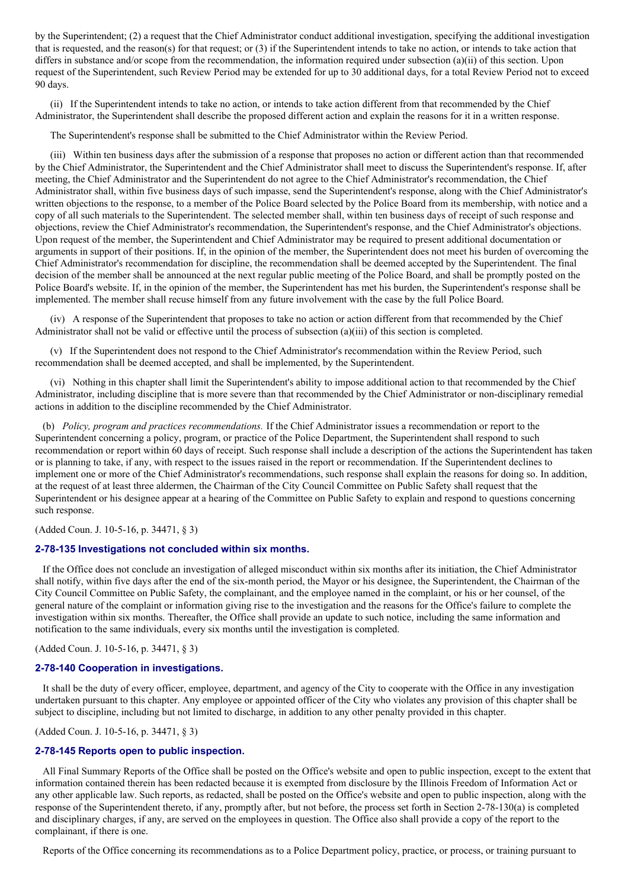by the Superintendent; (2) a request that the Chief Administrator conduct additional investigation, specifying the additional investigation that is requested, and the reason(s) for that request; or (3) if the Superintendent intends to take no action, or intends to take action that differs in substance and/or scope from the recommendation, the information required under subsection (a)(ii) of this section. Upon request of the Superintendent, such Review Period may be extended for up to 30 additional days, for a total Review Period not to exceed 90 days.

(ii) If the Superintendent intends to take no action, or intends to take action different from that recommended by the Chief Administrator, the Superintendent shall describe the proposed different action and explain the reasons for it in a written response.

The Superintendent's response shall be submitted to the Chief Administrator within the Review Period.

(iii) Within ten business days after the submission of a response that proposes no action or different action than that recommended by the Chief Administrator, the Superintendent and the Chief Administrator shall meet to discuss the Superintendent's response. If, after meeting, the Chief Administrator and the Superintendent do not agree to the Chief Administrator's recommendation, the Chief Administrator shall, within five business days of such impasse, send the Superintendent's response, along with the Chief Administrator's written objections to the response, to a member of the Police Board selected by the Police Board from its membership, with notice and a copy of all such materials to the Superintendent. The selected member shall, within ten business days of receipt of such response and objections, review the Chief Administrator's recommendation, the Superintendent's response, and the Chief Administrator's objections. Upon request of the member, the Superintendent and Chief Administrator may be required to present additional documentation or arguments in support of their positions. If, in the opinion of the member, the Superintendent does not meet his burden of overcoming the Chief Administrator's recommendation for discipline, the recommendation shall be deemed accepted by the Superintendent. The final decision of the member shall be announced at the next regular public meeting of the Police Board, and shall be promptly posted on the Police Board's website. If, in the opinion of the member, the Superintendent has met his burden, the Superintendent's response shall be implemented. The member shall recuse himself from any future involvement with the case by the full Police Board.

(iv) A response of the Superintendent that proposes to take no action or action different from that recommended by the Chief Administrator shall not be valid or effective until the process of subsection  $(a)(iii)$  of this section is completed.

(v) If the Superintendent does not respond to the Chief Administrator's recommendation within the Review Period, such recommendation shall be deemed accepted, and shall be implemented, by the Superintendent.

(vi) Nothing in this chapter shall limit the Superintendent's ability to impose additional action to that recommended by the Chief Administrator, including discipline that is more severe than that recommended by the Chief Administrator or non-disciplinary remedial actions in addition to the discipline recommended by the Chief Administrator.

(b) *Policy, program and practices recommendations.* If the Chief Administrator issues a recommendation or report to the Superintendent concerning a policy, program, or practice of the Police Department, the Superintendent shall respond to such recommendation or report within 60 days of receipt. Such response shall include a description of the actions the Superintendent has taken or is planning to take, if any, with respect to the issues raised in the report or recommendation. If the Superintendent declines to implement one or more of the Chief Administrator's recommendations, such response shall explain the reasons for doing so. In addition, at the request of at least three aldermen, the Chairman of the City Council Committee on Public Safety shall request that the Superintendent or his designee appear at a hearing of the Committee on Public Safety to explain and respond to questions concerning such response.

(Added Coun. J. 10-5-16, p. 34471, § 3)

#### **2-78-135 Investigations not concluded within six months.**

If the Office does not conclude an investigation of alleged misconduct within six months after its initiation, the Chief Administrator shall notify, within five days after the end of the six-month period, the Mayor or his designee, the Superintendent, the Chairman of the City Council Committee on Public Safety, the complainant, and the employee named in the complaint, or his or her counsel, of the general nature of the complaint or information giving rise to the investigation and the reasons for the Office's failure to complete the investigation within six months. Thereafter, the Office shall provide an update to such notice, including the same information and notification to the same individuals, every six months until the investigation is completed.

(Added Coun. J. 10-5-16, p. 34471, § 3)

#### **2-78-140 Cooperation in investigations.**

It shall be the duty of every officer, employee, department, and agency of the City to cooperate with the Office in any investigation undertaken pursuant to this chapter. Any employee or appointed officer of the City who violates any provision of this chapter shall be subject to discipline, including but not limited to discharge, in addition to any other penalty provided in this chapter.

(Added Coun. J. 10-5-16, p. 34471, § 3)

#### **2-78-145 Reports open to public inspection.**

All Final Summary Reports of the Office shall be posted on the Office's website and open to public inspection, except to the extent that information contained therein has been redacted because it is exempted from disclosure by the Illinois Freedom of Information Act or any other applicable law. Such reports, as redacted, shall be posted on the Office's website and open to public inspection, along with the response of the Superintendent thereto, if any, promptly after, but not before, the process set forth in Section 2-78-130(a) is completed and disciplinary charges, if any, are served on the employees in question. The Office also shall provide a copy of the report to the complainant, if there is one.

Reports of the Office concerning its recommendations as to a Police Department policy, practice, or process, or training pursuant to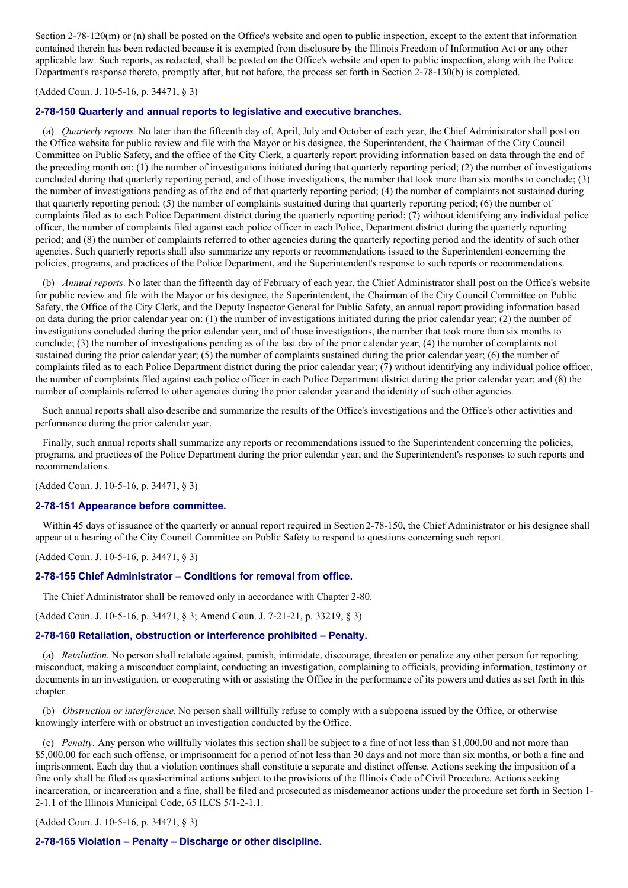Section 2-78-120(m) or (n) shall be posted on the Office's website and open to public inspection, except to the extent that information contained therein has been redacted because it is exempted from disclosure by the Illinois Freedom of Information Act or any other applicable law. Such reports, as redacted, shall be posted on the Office's website and open to public inspection, along with the Police Department's response thereto, promptly after, but not before, the process set forth in Section 2-78-130(b) is completed.

#### (Added Coun. J. 10-5-16, p. 34471, § 3)

## **2-78-150 Quarterly and annual reports to legislative and executive branches.**

(a) *Quarterly reports.* No later than the fifteenth day of, April, July and October of each year, the Chief Administrator shall post on the Office website for public review and file with the Mayor or his designee, the Superintendent, the Chairman of the City Council Committee on Public Safety, and the office of the City Clerk, a quarterly report providing information based on data through the end of the preceding month on: (1) the number of investigations initiated during that quarterly reporting period; (2) the number of investigations concluded during that quarterly reporting period, and of those investigations, the number that took more than six months to conclude; (3) the number of investigations pending as of the end of that quarterly reporting period; (4) the number of complaints not sustained during that quarterly reporting period; (5) the number of complaints sustained during that quarterly reporting period; (6) the number of complaints filed as to each Police Department district during the quarterly reporting period; (7) without identifying any individual police officer, the number of complaints filed against each police officer in each Police, Department district during the quarterly reporting period; and (8) the number of complaints referred to other agencies during the quarterly reporting period and the identity of such other agencies. Such quarterly reports shall also summarize any reports or recommendations issued to the Superintendent concerning the policies, programs, and practices of the Police Department, and the Superintendent's response to such reports or recommendations.

(b) *Annual reports.* No later than the fifteenth day of February of each year, the Chief Administrator shall post on the Office's website for public review and file with the Mayor or his designee, the Superintendent, the Chairman of the City Council Committee on Public Safety, the Office of the City Clerk, and the Deputy Inspector General for Public Safety, an annual report providing information based on data during the prior calendar year on: (1) the number of investigations initiated during the prior calendar year; (2) the number of investigations concluded during the prior calendar year, and of those investigations, the number that took more than six months to conclude; (3) the number of investigations pending as of the last day of the prior calendar year; (4) the number of complaints not sustained during the prior calendar year; (5) the number of complaints sustained during the prior calendar year; (6) the number of complaints filed as to each Police Department district during the prior calendar year; (7) without identifying any individual police officer, the number of complaints filed against each police officer in each Police Department district during the prior calendar year; and (8) the number of complaints referred to other agencies during the prior calendar year and the identity of such other agencies.

Such annual reports shall also describe and summarize the results of the Office's investigations and the Office's other activities and performance during the prior calendar year.

Finally, such annual reports shall summarize any reports or recommendations issued to the Superintendent concerning the policies, programs, and practices of the Police Department during the prior calendar year, and the Superintendent's responses to such reports and recommendations.

(Added Coun. J. 10-5-16, p. 34471, § 3)

#### **2-78-151 Appearance before committee.**

Within 45 days of issuance of the quarterly or annual report required in Section 2-78-150, the Chief Administrator or his designee shall appear at a hearing of the City Council Committee on Public Safety to respond to questions concerning such report.

(Added Coun. J. 10-5-16, p. 34471, § 3)

#### **2-78-155 Chief Administrator – Conditions for removal from office.**

The Chief Administrator shall be removed only in accordance with Chapter 2-80.

(Added Coun. J. 10-5-16, p. 34471, § 3; Amend Coun. J. 7-21-21, p. 33219, § 3)

#### **2-78-160 Retaliation, obstruction or interference prohibited – Penalty.**

(a) *Retaliation.* No person shall retaliate against, punish, intimidate, discourage, threaten or penalize any other person for reporting misconduct, making a misconduct complaint, conducting an investigation, complaining to officials, providing information, testimony or documents in an investigation, or cooperating with or assisting the Office in the performance of its powers and duties as set forth in this chapter.

(b) *Obstruction or interference.* No person shall willfully refuse to comply with a subpoena issued by the Office, or otherwise knowingly interfere with or obstruct an investigation conducted by the Office.

(c) *Penalty.* Any person who willfully violates this section shall be subject to a fine of not less than \$1,000.00 and not more than \$5,000.00 for each such offense, or imprisonment for a period of not less than 30 days and not more than six months, or both a fine and imprisonment. Each day that a violation continues shall constitute a separate and distinct offense. Actions seeking the imposition of a fine only shall be filed as quasi-criminal actions subject to the provisions of the Illinois Code of Civil Procedure. Actions seeking incarceration, or incarceration and a fine, shall be filed and prosecuted as misdemeanor actions under the procedure set forth in Section 1- 2-1.1 of the Illinois Municipal Code, 65 ILCS 5/1-2-1.1.

(Added Coun. J. 10-5-16, p. 34471, § 3)

## **2-78-165 Violation – Penalty – Discharge or other discipline.**